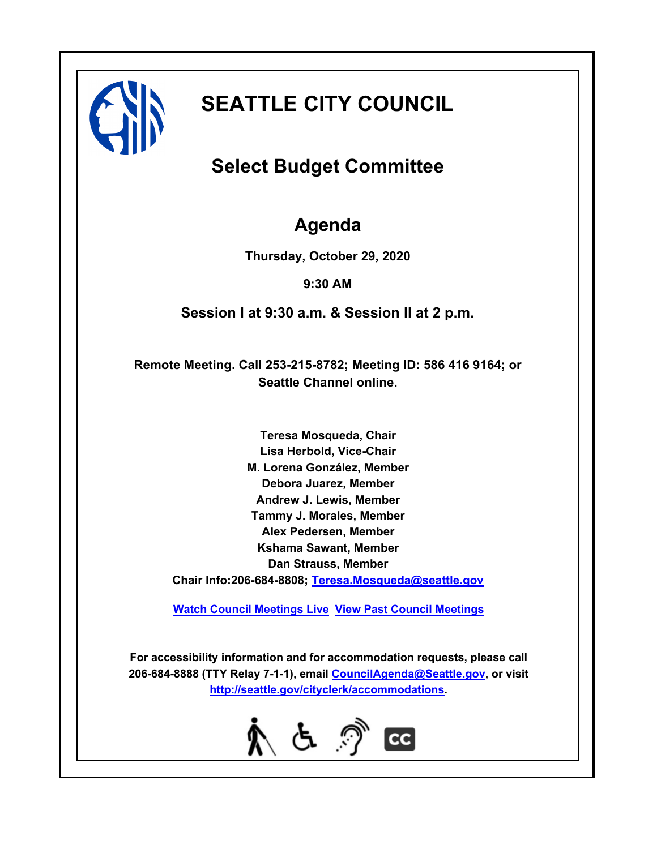

# **SEATTLE CITY COUNCIL**

## **Select Budget Committee**

### **Agenda**

**Thursday, October 29, 2020**

**9:30 AM**

**Session I at 9:30 a.m. & Session II at 2 p.m.**

**Remote Meeting. Call 253-215-8782; Meeting ID: 586 416 9164; or Seattle Channel online.**

**Teresa Mosqueda, Chair Lisa Herbold, Vice-Chair M. Lorena González, Member Debora Juarez, Member Andrew J. Lewis, Member Tammy J. Morales, Member Alex Pedersen, Member Kshama Sawant, Member Dan Strauss, Member Chair Info:206-684-8808; [Teresa.Mosqueda@seattle.gov](mailto: Teresa.Mosqueda@seattle.gov)**

**[Watch Council Meetings Live](http://www.seattle.gov/council/councillive.htm) [View Past Council Meetings](http://www.seattlechannel.org/videos/browseVideos.asp?topic=council)**

**For accessibility information and for accommodation requests, please call 206-684-8888 (TTY Relay 7-1-1), email [CouncilAgenda@Seattle.gov](mailto: Council.Agenda@seattle.gov), or visit <http://seattle.gov/cityclerk/accommodations>.**

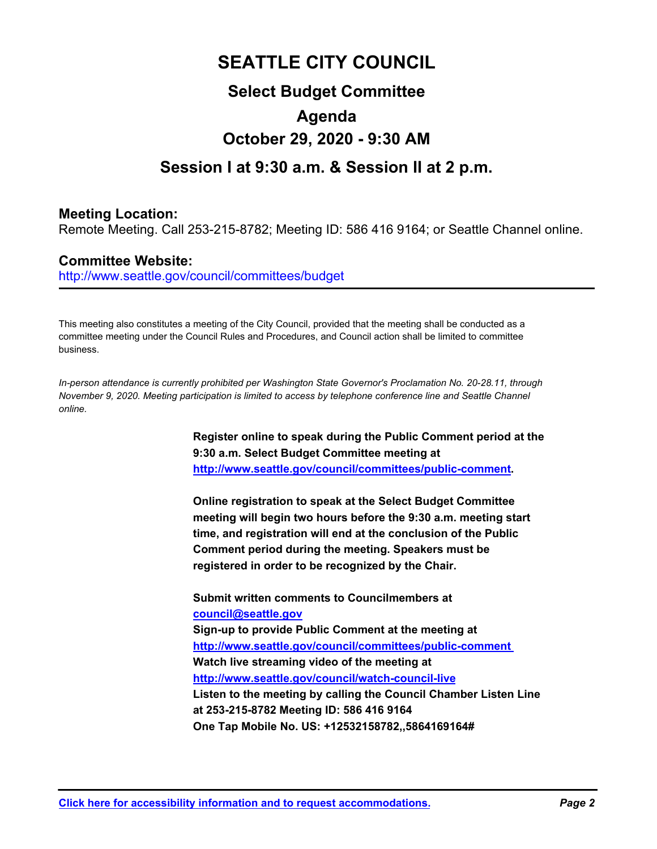### **SEATTLE CITY COUNCIL**

### **Select Budget Committee Agenda October 29, 2020 - 9:30 AM**

#### **Session I at 9:30 a.m. & Session II at 2 p.m.**

#### **Meeting Location:**

Remote Meeting. Call 253-215-8782; Meeting ID: 586 416 9164; or Seattle Channel online.

#### **Committee Website:**

http://www.seattle.gov/council/committees/budget

This meeting also constitutes a meeting of the City Council, provided that the meeting shall be conducted as a committee meeting under the Council Rules and Procedures, and Council action shall be limited to committee business.

*In-person attendance is currently prohibited per Washington State Governor's Proclamation No. 20-28.11, through November 9, 2020. Meeting participation is limited to access by telephone conference line and Seattle Channel online.*

> **Register online to speak during the Public Comment period at the 9:30 a.m. Select Budget Committee meeting at http://www.seattle.gov/council/committees/public-comment.**

**Online registration to speak at the Select Budget Committee meeting will begin two hours before the 9:30 a.m. meeting start time, and registration will end at the conclusion of the Public Comment period during the meeting. Speakers must be registered in order to be recognized by the Chair.**

**Submit written comments to Councilmembers at council@seattle.gov Sign-up to provide Public Comment at the meeting at http://www.seattle.gov/council/committees/public-comment Watch live streaming video of the meeting at http://www.seattle.gov/council/watch-council-live Listen to the meeting by calling the Council Chamber Listen Line at 253-215-8782 Meeting ID: 586 416 9164 One Tap Mobile No. US: +12532158782,,5864169164#**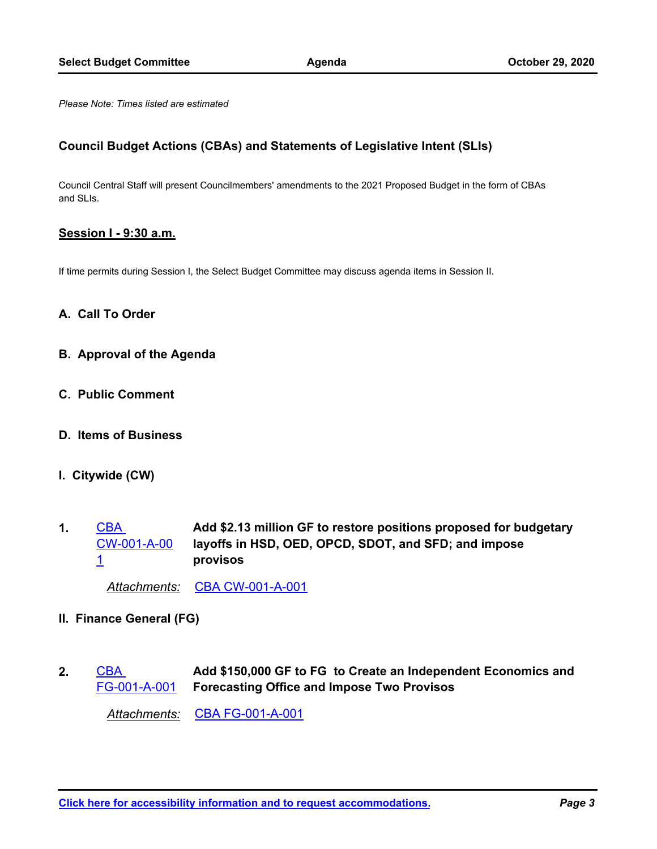*Please Note: Times listed are estimated*

#### **Council Budget Actions (CBAs) and Statements of Legislative Intent (SLIs)**

Council Central Staff will present Councilmembers' amendments to the 2021 Proposed Budget in the form of CBAs and SLIs.

#### **Session I - 9:30 a.m.**

If time permits during Session I, the Select Budget Committee may discuss agenda items in Session II.

#### **A. Call To Order**

- **B. Approval of the Agenda**
- **C. Public Comment**
- **D. Items of Business**
- **I. Citywide (CW)**
- **Add \$2.13 million GF to restore positions proposed for budgetary layoffs in HSD, OED, OPCD, SDOT, and SFD; and impose provisos** CBA [CW-001-A-00](http://seattle.legistar.com/gateway.aspx?m=l&id=/matter.aspx?key=10719) 1 **1.**

*Attachments:* [CBA CW-001-A-001](http://seattle.legistar.com/gateway.aspx?M=F&ID=85f3b44c-1796-4a28-9134-22af97ecfe7f.docx)

- **II. Finance General (FG)**
- **Add \$150,000 GF to FG to Create an Independent Economics and Forecasting Office and Impose Two Provisos** CBA [FG-001-A-001](http://seattle.legistar.com/gateway.aspx?m=l&id=/matter.aspx?key=10720) **2.**

*Attachments:* [CBA FG-001-A-001](http://seattle.legistar.com/gateway.aspx?M=F&ID=a7d0f12f-6cc7-4f22-a69e-5968b4e7d539.docx)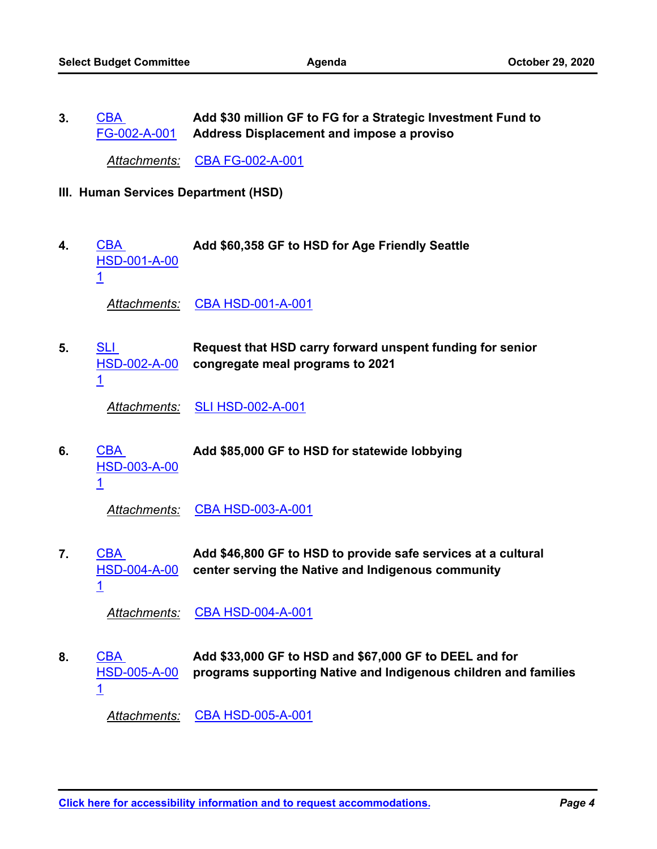**Add \$30 million GF to FG for a Strategic Investment Fund to Address Displacement and impose a proviso** CBA [FG-002-A-001](http://seattle.legistar.com/gateway.aspx?m=l&id=/matter.aspx?key=10721) **3.**

*Attachments:* [CBA FG-002-A-001](http://seattle.legistar.com/gateway.aspx?M=F&ID=f1e4c7fe-05cc-4195-873a-e9b193ccdc6b.docx)

- **III. Human Services Department (HSD)**
- CBA **Add \$60,358 GF to HSD for Age Friendly Seattle** [HSD-001-A-00](http://seattle.legistar.com/gateway.aspx?m=l&id=/matter.aspx?key=10722) 1 **4.**

*Attachments:* [CBA HSD-001-A-001](http://seattle.legistar.com/gateway.aspx?M=F&ID=ae054ebc-10aa-4363-aedb-32991e1ef21e.docx)

**Request that HSD carry forward unspent funding for senior congregate meal programs to 2021 SLI** [HSD-002-A-00](http://seattle.legistar.com/gateway.aspx?m=l&id=/matter.aspx?key=10708) 1 **5.**

*Attachments:* [SLI HSD-002-A-001](http://seattle.legistar.com/gateway.aspx?M=F&ID=f8374ff1-bef8-479a-9bc8-dc5142a0451b.docx)

CBA **Add \$85,000 GF to HSD for statewide lobbying** [HSD-003-A-00](http://seattle.legistar.com/gateway.aspx?m=l&id=/matter.aspx?key=10723) 1 **6.**

*Attachments:* [CBA HSD-003-A-001](http://seattle.legistar.com/gateway.aspx?M=F&ID=640fa73b-902c-48d8-9ab2-1481e0153e81.docx)

**Add \$46,800 GF to HSD to provide safe services at a cultural center serving the Native and Indigenous community** CBA [HSD-004-A-00](http://seattle.legistar.com/gateway.aspx?m=l&id=/matter.aspx?key=10724) 1 **7.**

*Attachments:* [CBA HSD-004-A-001](http://seattle.legistar.com/gateway.aspx?M=F&ID=ac4fec05-2f92-460c-b8dd-900fa182d6f9.docx)

**Add \$33,000 GF to HSD and \$67,000 GF to DEEL and for programs supporting Native and Indigenous children and families** CBA [HSD-005-A-00](http://seattle.legistar.com/gateway.aspx?m=l&id=/matter.aspx?key=10725) 1 **8.**

*Attachments:* [CBA HSD-005-A-001](http://seattle.legistar.com/gateway.aspx?M=F&ID=dec94af4-a5e0-43d1-a664-1d1e7d38ec60.docx)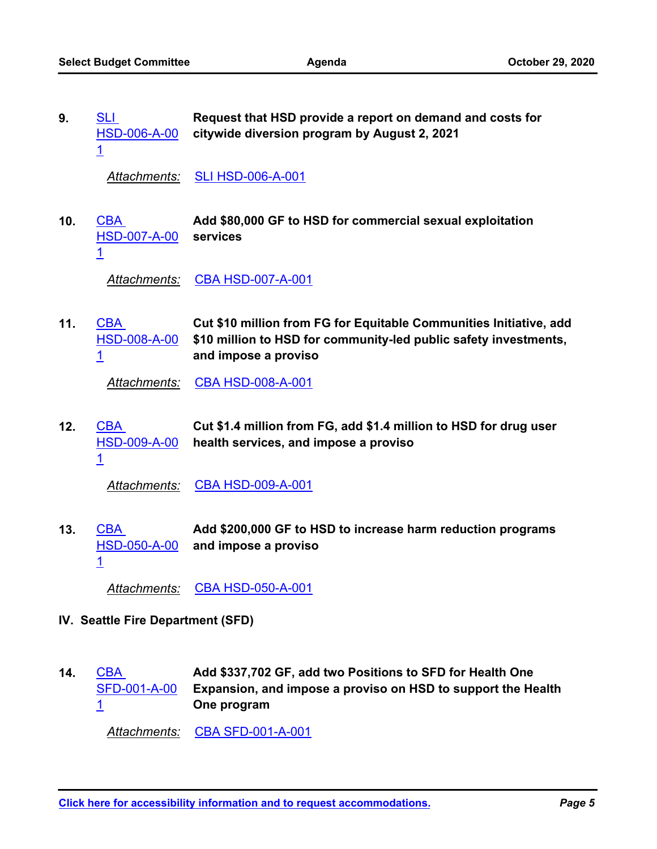| 9. | SLI. | Request that HSD provide a report on demand and costs for |
|----|------|-----------------------------------------------------------|
|    |      | HSD-006-A-00 citywide diversion program by August 2, 2021 |
|    |      |                                                           |

*Attachments:* [SLI HSD-006-A-001](http://seattle.legistar.com/gateway.aspx?M=F&ID=73ccab94-74bc-4b79-8430-5c7fd5547cd4.docx)

**Add \$80,000 GF to HSD for commercial sexual exploitation services** CBA [HSD-007-A-00](http://seattle.legistar.com/gateway.aspx?m=l&id=/matter.aspx?key=10726) 1 **10.**

*Attachments:* [CBA HSD-007-A-001](http://seattle.legistar.com/gateway.aspx?M=F&ID=41dabbb3-9626-4a33-8db9-f5050b7b42ce.docx)

**Cut \$10 million from FG for Equitable Communities Initiative, add \$10 million to HSD for community-led public safety investments, and impose a proviso** CBA [HSD-008-A-00](http://seattle.legistar.com/gateway.aspx?m=l&id=/matter.aspx?key=10727) 1 **11.**

*Attachments:* [CBA HSD-008-A-001](http://seattle.legistar.com/gateway.aspx?M=F&ID=03434f1b-1cad-46b9-8bec-aa37de1ddf7c.docx)

**Cut \$1.4 million from FG, add \$1.4 million to HSD for drug user health services, and impose a proviso** CBA [HSD-009-A-00](http://seattle.legistar.com/gateway.aspx?m=l&id=/matter.aspx?key=10728) **12.**

1

*Attachments:* [CBA HSD-009-A-001](http://seattle.legistar.com/gateway.aspx?M=F&ID=58a0b55c-9aed-4b0f-858b-70410715a4bf.docx)

**Add \$200,000 GF to HSD to increase harm reduction programs and impose a proviso CBA** [HSD-050-A-00](http://seattle.legistar.com/gateway.aspx?m=l&id=/matter.aspx?key=10756) 1 **13.**

*Attachments:* [CBA HSD-050-A-001](http://seattle.legistar.com/gateway.aspx?M=F&ID=abcb8fb4-7cf9-41e1-a9fa-c3a52a99afb5.docx)

- **IV. Seattle Fire Department (SFD)**
- **Add \$337,702 GF, add two Positions to SFD for Health One Expansion, and impose a proviso on HSD to support the Health One program CBA** [SFD-001-A-00](http://seattle.legistar.com/gateway.aspx?m=l&id=/matter.aspx?key=10740) 1 **14.**

*Attachments:* [CBA SFD-001-A-001](http://seattle.legistar.com/gateway.aspx?M=F&ID=d1645925-9889-47c0-985f-f4efef8f2a2e.docx)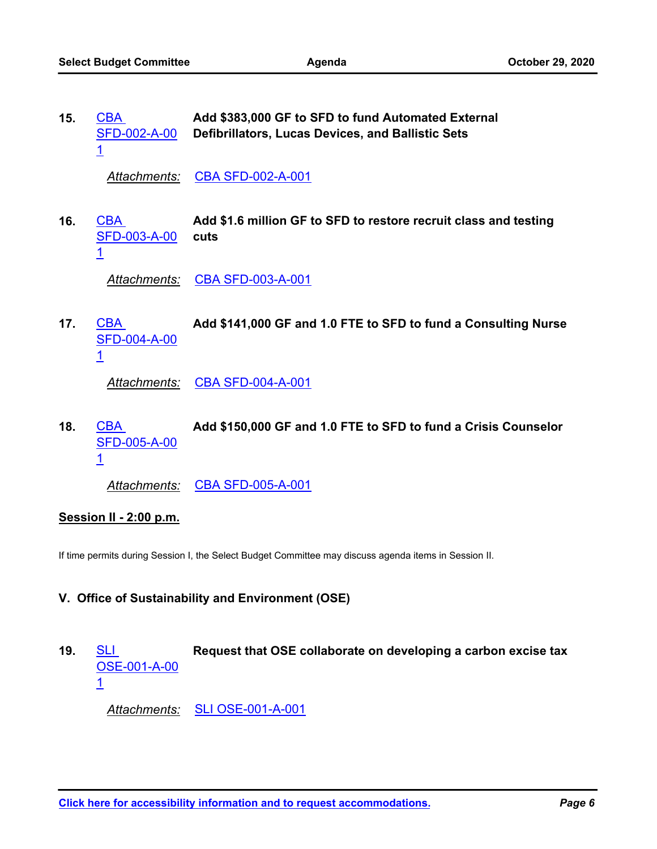| 15. | <b>CBA</b><br>SFD-002-A-00<br><u>1</u>        | Add \$383,000 GF to SFD to fund Automated External<br>Defibrillators, Lucas Devices, and Ballistic Sets |
|-----|-----------------------------------------------|---------------------------------------------------------------------------------------------------------|
|     | Attachments:                                  | <b>CBA SFD-002-A-001</b>                                                                                |
| 16. | <b>CBA</b><br><b>SFD-003-A-00</b><br><u>1</u> | Add \$1.6 million GF to SFD to restore recruit class and testing<br>cuts                                |
|     | Attachments:                                  | <b>CBA SFD-003-A-001</b>                                                                                |
| 17. | CBA<br><b>SFD-004-A-00</b><br><u>1</u>        | Add \$141,000 GF and 1.0 FTE to SFD to fund a Consulting Nurse                                          |
|     | Attachments:                                  | <b>CBA SFD-004-A-001</b>                                                                                |
| 18. | <b>CBA</b><br>SFD-005-A-00<br>$\overline{1}$  | Add \$150,000 GF and 1.0 FTE to SFD to fund a Crisis Counselor                                          |
|     | Attachments:                                  | <b>CBA SFD-005-A-001</b>                                                                                |

#### **Session II - 2:00 p.m.**

If time permits during Session I, the Select Budget Committee may discuss agenda items in Session II.

#### **V. Office of Sustainability and Environment (OSE)**

SLI **Request that OSE collaborate on developing a carbon excise tax** [OSE-001-A-00](http://seattle.legistar.com/gateway.aspx?m=l&id=/matter.aspx?key=10710) 1 **19.**

*Attachments:* [SLI OSE-001-A-001](http://seattle.legistar.com/gateway.aspx?M=F&ID=33d2d692-4d37-44d7-928f-02dbd994460f.docx)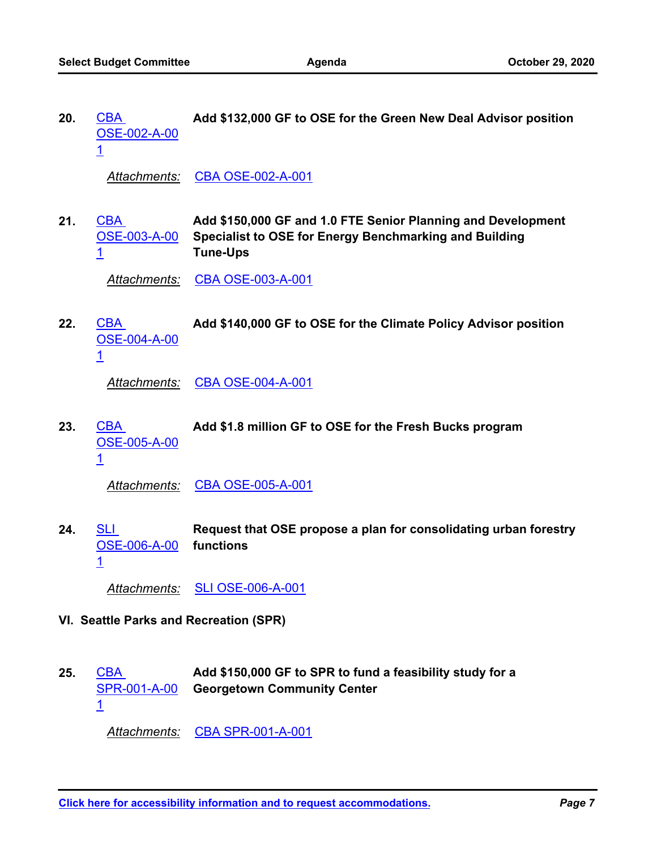CBA **Add \$132,000 GF to OSE for the Green New Deal Advisor position** [OSE-002-A-00](http://seattle.legistar.com/gateway.aspx?m=l&id=/matter.aspx?key=10729) 1 **20.**

*Attachments:* [CBA OSE-002-A-001](http://seattle.legistar.com/gateway.aspx?M=F&ID=28237396-d49f-46cf-bb28-382e8ffd73c2.docx)

**Add \$150,000 GF and 1.0 FTE Senior Planning and Development Specialist to OSE for Energy Benchmarking and Building Tune-Ups** CBA [OSE-003-A-00](http://seattle.legistar.com/gateway.aspx?m=l&id=/matter.aspx?key=10730) 1 **21.**

*Attachments:* [CBA OSE-003-A-001](http://seattle.legistar.com/gateway.aspx?M=F&ID=fbcca694-910b-40fd-9ac9-a28f1fd49dce.docx)

CBA **Add \$140,000 GF to OSE for the Climate Policy Advisor position** [OSE-004-A-00](http://seattle.legistar.com/gateway.aspx?m=l&id=/matter.aspx?key=10731) 1 **22.**

*Attachments:* [CBA OSE-004-A-001](http://seattle.legistar.com/gateway.aspx?M=F&ID=69692de0-47de-4d5c-8a98-93cefc40323d.docx)

CBA **Add \$1.8 million GF to OSE for the Fresh Bucks program** [OSE-005-A-00](http://seattle.legistar.com/gateway.aspx?m=l&id=/matter.aspx?key=10732) 1 **23.**

*Attachments:* [CBA OSE-005-A-001](http://seattle.legistar.com/gateway.aspx?M=F&ID=28cc1f9c-ba2e-469b-b10f-56f2d53834f8.docx)

**Request that OSE propose a plan for consolidating urban forestry functions** <u>SLI</u> [OSE-006-A-00](http://seattle.legistar.com/gateway.aspx?m=l&id=/matter.aspx?key=10711) 1 **24.**

*Attachments:* [SLI OSE-006-A-001](http://seattle.legistar.com/gateway.aspx?M=F&ID=c3de5e41-b4ef-4eed-a493-8ccb309ec5fb.docx)

- **VI. Seattle Parks and Recreation (SPR)**
- **Add \$150,000 GF to SPR to fund a feasibility study for a Georgetown Community Center** CBA [SPR-001-A-00](http://seattle.legistar.com/gateway.aspx?m=l&id=/matter.aspx?key=10745) 1 **25.**

*Attachments:* [CBA SPR-001-A-001](http://seattle.legistar.com/gateway.aspx?M=F&ID=4555c19b-6310-46a7-bc3d-398a0328dd58.docx)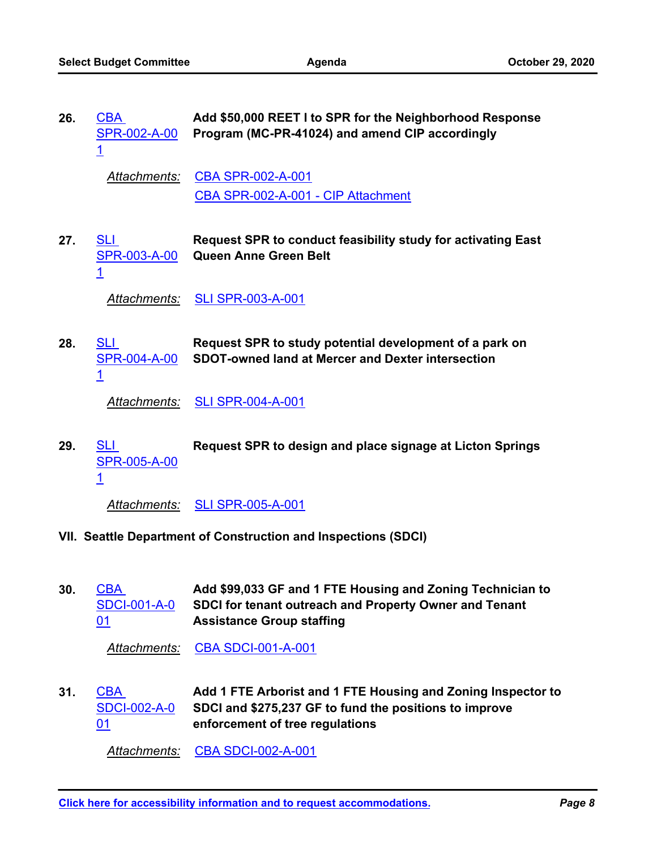| 26.                                                            | <b>CBA</b><br>SPR-002-A-00<br>$\overline{1}$        | Add \$50,000 REET I to SPR for the Neighborhood Response<br>Program (MC-PR-41024) and amend CIP accordingly          |
|----------------------------------------------------------------|-----------------------------------------------------|----------------------------------------------------------------------------------------------------------------------|
|                                                                | Attachments:                                        | CBA SPR-002-A-001<br>CBA SPR-002-A-001 - CIP Attachment                                                              |
| 27.                                                            | <b>SLI</b><br>SPR-003-A-00<br>$\overline{1}$        | Request SPR to conduct feasibility study for activating East<br>Queen Anne Green Belt                                |
|                                                                | Attachments:                                        | <b>SLI SPR-003-A-001</b>                                                                                             |
| 28.                                                            | <b>SLI</b><br><b>SPR-004-A-00</b><br>$\overline{1}$ | Request SPR to study potential development of a park on<br><b>SDOT-owned land at Mercer and Dexter intersection</b>  |
|                                                                | Attachments:                                        | <b>SLI SPR-004-A-001</b>                                                                                             |
| 29.                                                            | <b>SLI</b><br><b>SPR-005-A-00</b><br>$\overline{1}$ | Request SPR to design and place signage at Licton Springs                                                            |
|                                                                | Attachments:                                        | <b>SLI SPR-005-A-001</b>                                                                                             |
| VII. Seattle Department of Construction and Inspections (SDCI) |                                                     |                                                                                                                      |
| 30.                                                            | <b>CBA</b><br><b>SDCI-001-A-0</b>                   | Add \$99,033 GF and 1 FTE Housing and Zoning Technician to<br>SDCI for tenant outreach and Property Owner and Tenant |

*Attachments:* [CBA SDCI-001-A-001](http://seattle.legistar.com/gateway.aspx?M=F&ID=629a4642-77ba-4a42-b84b-1761b7847e80.docx)

01

**Assistance Group staffing**

**Add 1 FTE Arborist and 1 FTE Housing and Zoning Inspector to SDCI and \$275,237 GF to fund the positions to improve enforcement of tree regulations CBA** [SDCI-002-A-0](http://seattle.legistar.com/gateway.aspx?m=l&id=/matter.aspx?key=10734) 01 **31.**

*Attachments:* [CBA SDCI-002-A-001](http://seattle.legistar.com/gateway.aspx?M=F&ID=f47815b1-f1ef-44c2-8e6a-f2e13ee21706.docx)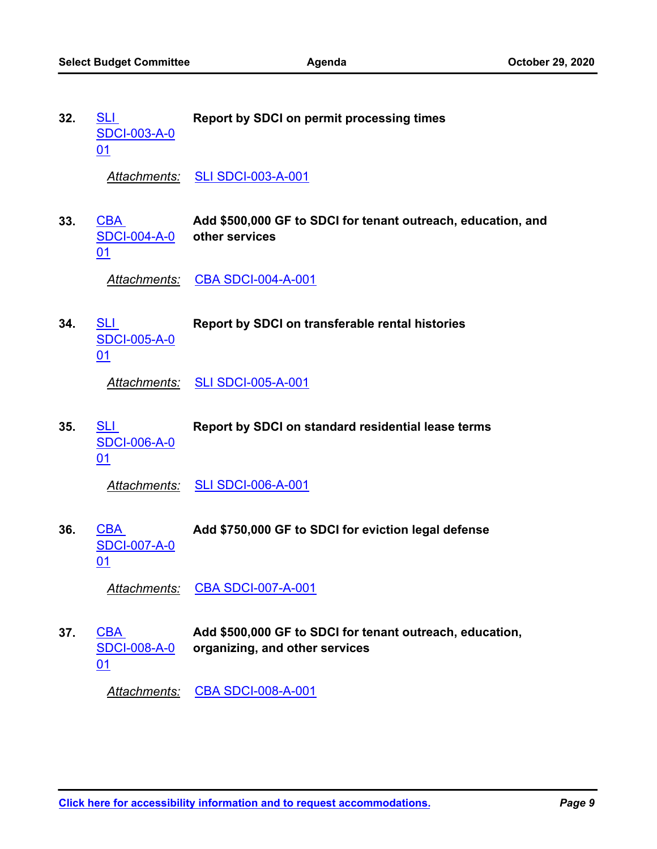| 32. | <u>SLI</u><br><b>SDCI-003-A-0</b><br>01  | <b>Report by SDCI on permit processing times</b>                                           |
|-----|------------------------------------------|--------------------------------------------------------------------------------------------|
|     |                                          | Attachments: SLI SDCI-003-A-001                                                            |
| 33. | CBA<br>SDCI-004-A-0 other services<br>01 | Add \$500,000 GF to SDCI for tenant outreach, education, and                               |
|     |                                          | Attachments: CBA SDCI-004-A-001                                                            |
| 34. | <u>SLI</u><br><b>SDCI-005-A-0</b><br>01  | Report by SDCI on transferable rental histories                                            |
|     |                                          | Attachments: SLI SDCI-005-A-001                                                            |
| 35. | <u>SLI</u><br><b>SDCI-006-A-0</b><br>01  | Report by SDCI on standard residential lease terms                                         |
|     |                                          | Attachments: SLI SDCI-006-A-001                                                            |
| 36. | <b>CBA</b><br><b>SDCI-007-A-0</b><br>01  | Add \$750,000 GF to SDCI for eviction legal defense                                        |
|     |                                          | Attachments: CBA SDCI-007-A-001                                                            |
| 37. | CBA<br><b>SDCI-008-A-0</b><br>01         | Add \$500,000 GF to SDCI for tenant outreach, education,<br>organizing, and other services |
|     |                                          | Attachments: CBA SDCI-008-A-001                                                            |